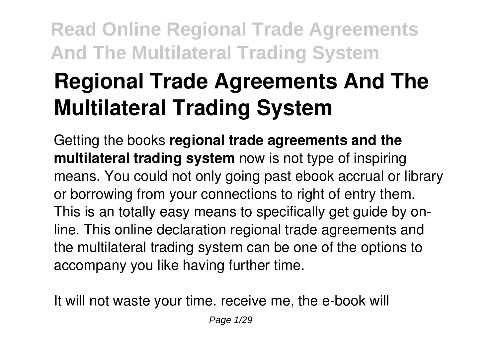# **Regional Trade Agreements And The Multilateral Trading System**

Getting the books **regional trade agreements and the multilateral trading system** now is not type of inspiring means. You could not only going past ebook accrual or library or borrowing from your connections to right of entry them. This is an totally easy means to specifically get guide by online. This online declaration regional trade agreements and the multilateral trading system can be one of the options to accompany you like having further time.

It will not waste your time. receive me, the e-book will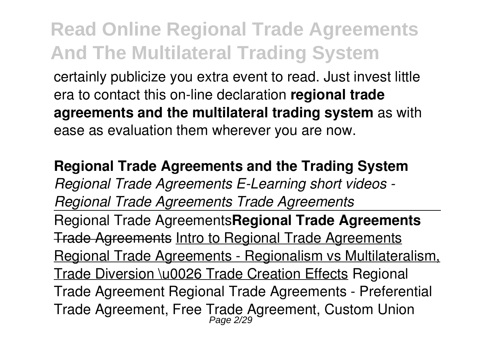certainly publicize you extra event to read. Just invest little era to contact this on-line declaration **regional trade agreements and the multilateral trading system** as with ease as evaluation them wherever you are now.

**Regional Trade Agreements and the Trading System** *Regional Trade Agreements E-Learning short videos - Regional Trade Agreements Trade Agreements* Regional Trade Agreements**Regional Trade Agreements** Trade Agreements Intro to Regional Trade Agreements Regional Trade Agreements - Regionalism vs Multilateralism, Trade Diversion \u0026 Trade Creation Effects Regional Trade Agreement Regional Trade Agreements - Preferential Trade Agreement, Free Trade Agreement, Custom Union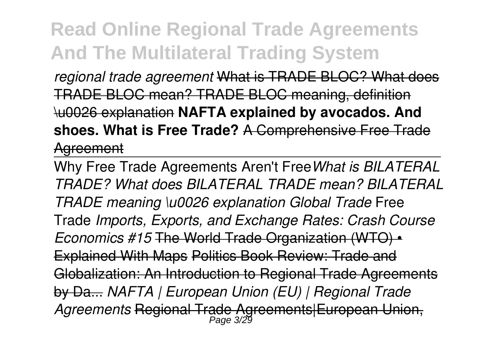*regional trade agreement* What is TRADE BLOC? What does TRADE BLOC mean? TRADE BLOC meaning, definition \u0026 explanation **NAFTA explained by avocados. And shoes. What is Free Trade?** A Comprehensive Free Trade Agreement

Why Free Trade Agreements Aren't Free*What is BILATERAL TRADE? What does BILATERAL TRADE mean? BILATERAL TRADE meaning \u0026 explanation Global Trade* Free Trade *Imports, Exports, and Exchange Rates: Crash Course Economics #15* The World Trade Organization (WTO) • Explained With Maps Politics Book Review: Trade and Globalization: An Introduction to Regional Trade Agreements by Da... *NAFTA | European Union (EU) | Regional Trade Agreements* Regional Trade Agreements|European Union, Page 3/29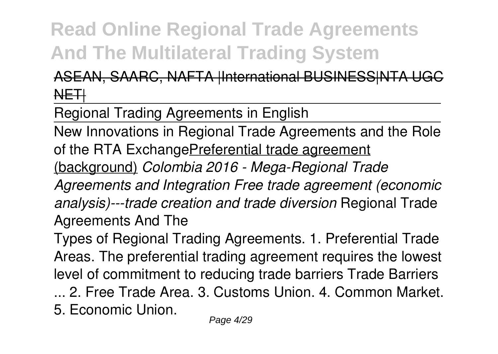#### ASEAN, SAARC, NAFTA |International BUSINESS|NTA UGC NETH

Regional Trading Agreements in English

New Innovations in Regional Trade Agreements and the Role of the RTA ExchangePreferential trade agreement

(background) *Colombia 2016 - Mega-Regional Trade*

*Agreements and Integration Free trade agreement (economic analysis)---trade creation and trade diversion* Regional Trade Agreements And The

Types of Regional Trading Agreements. 1. Preferential Trade Areas. The preferential trading agreement requires the lowest level of commitment to reducing trade barriers Trade Barriers

... 2. Free Trade Area. 3. Customs Union. 4. Common Market. 5. Economic Union.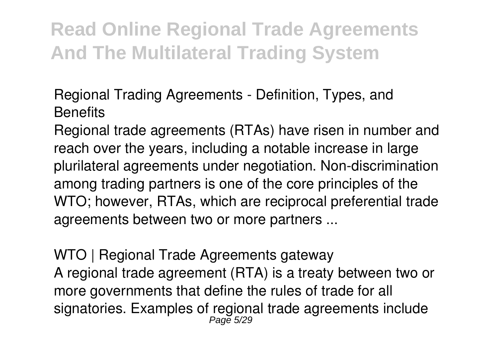Regional Trading Agreements - Definition, Types, and **Benefits** 

Regional trade agreements (RTAs) have risen in number and reach over the years, including a notable increase in large plurilateral agreements under negotiation. Non-discrimination among trading partners is one of the core principles of the WTO; however, RTAs, which are reciprocal preferential trade agreements between two or more partners ...

WTO | Regional Trade Agreements gateway A regional trade agreement (RTA) is a treaty between two or more governments that define the rules of trade for all signatories. Examples of regional trade agreements include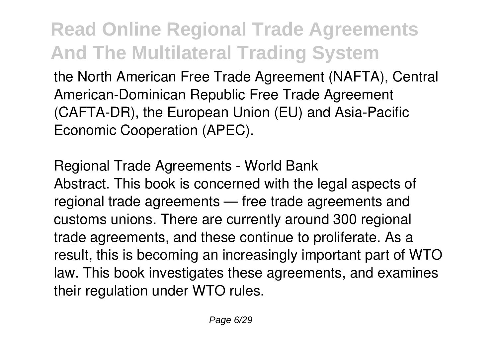the North American Free Trade Agreement (NAFTA), Central American-Dominican Republic Free Trade Agreement (CAFTA-DR), the European Union (EU) and Asia-Pacific Economic Cooperation (APEC).

Regional Trade Agreements - World Bank Abstract. This book is concerned with the legal aspects of regional trade agreements — free trade agreements and customs unions. There are currently around 300 regional trade agreements, and these continue to proliferate. As a result, this is becoming an increasingly important part of WTO law. This book investigates these agreements, and examines their regulation under WTO rules.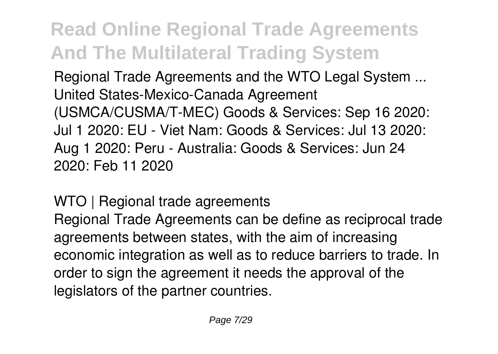Regional Trade Agreements and the WTO Legal System ... United States-Mexico-Canada Agreement (USMCA/CUSMA/T-MEC) Goods & Services: Sep 16 2020: Jul 1 2020: EU - Viet Nam: Goods & Services: Jul 13 2020: Aug 1 2020: Peru - Australia: Goods & Services: Jun 24 2020: Feb 11 2020

WTO | Regional trade agreements Regional Trade Agreements can be define as reciprocal trade agreements between states, with the aim of increasing economic integration as well as to reduce barriers to trade. In order to sign the agreement it needs the approval of the legislators of the partner countries.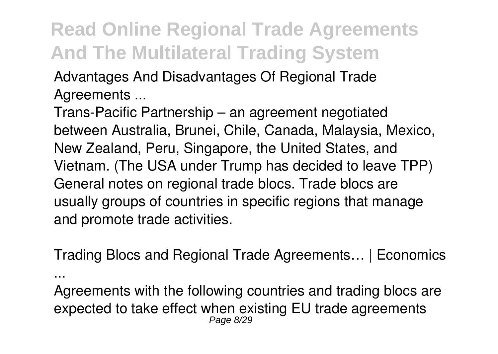Advantages And Disadvantages Of Regional Trade Agreements ...

...

Trans-Pacific Partnership – an agreement negotiated between Australia, Brunei, Chile, Canada, Malaysia, Mexico, New Zealand, Peru, Singapore, the United States, and Vietnam. (The USA under Trump has decided to leave TPP) General notes on regional trade blocs. Trade blocs are usually groups of countries in specific regions that manage and promote trade activities.

Trading Blocs and Regional Trade Agreements… | Economics

Agreements with the following countries and trading blocs are expected to take effect when existing EU trade agreements Page 8/29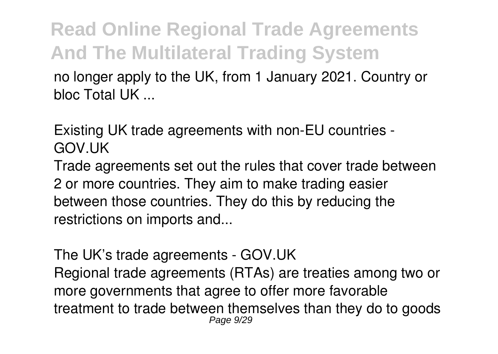no longer apply to the UK, from 1 January 2021. Country or bloc Total UK ...

Existing UK trade agreements with non-EU countries - GOV.UK

Trade agreements set out the rules that cover trade between 2 or more countries. They aim to make trading easier between those countries. They do this by reducing the restrictions on imports and...

The UK's trade agreements - GOV.UK Regional trade agreements (RTAs) are treaties among two or more governments that agree to offer more favorable treatment to trade between themselves than they do to goods Page 9/29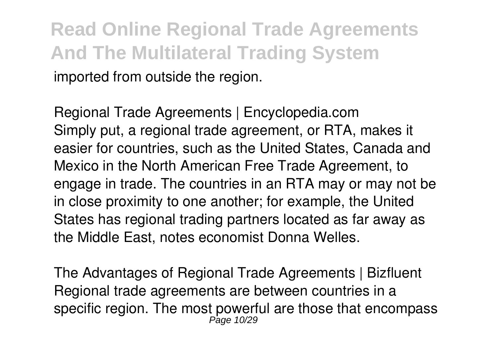**Read Online Regional Trade Agreements And The Multilateral Trading System** imported from outside the region.

Regional Trade Agreements | Encyclopedia.com Simply put, a regional trade agreement, or RTA, makes it easier for countries, such as the United States, Canada and Mexico in the North American Free Trade Agreement, to engage in trade. The countries in an RTA may or may not be in close proximity to one another; for example, the United States has regional trading partners located as far away as the Middle East, notes economist Donna Welles.

The Advantages of Regional Trade Agreements | Bizfluent Regional trade agreements are between countries in a specific region. The most powerful are those that encompass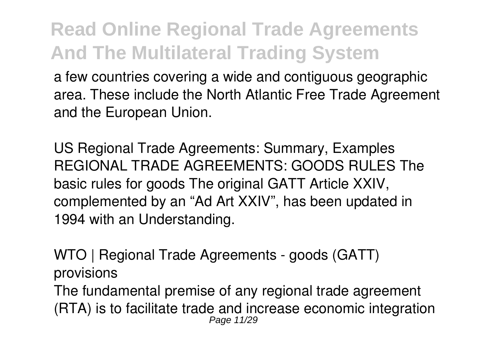a few countries covering a wide and contiguous geographic area. These include the North Atlantic Free Trade Agreement and the European Union.

US Regional Trade Agreements: Summary, Examples REGIONAL TRADE AGREEMENTS: GOODS RULES The basic rules for goods The original GATT Article XXIV, complemented by an "Ad Art XXIV", has been updated in 1994 with an Understanding.

WTO | Regional Trade Agreements - goods (GATT) provisions

The fundamental premise of any regional trade agreement (RTA) is to facilitate trade and increase economic integration Page 11/29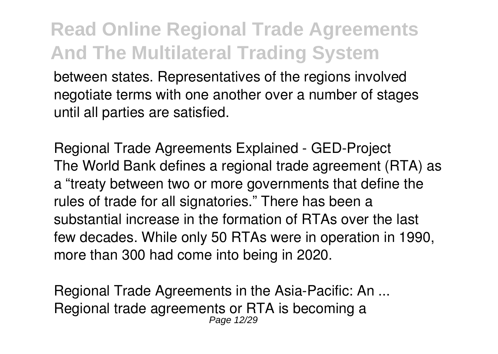between states. Representatives of the regions involved negotiate terms with one another over a number of stages until all parties are satisfied.

Regional Trade Agreements Explained - GED-Project The World Bank defines a regional trade agreement (RTA) as a "treaty between two or more governments that define the rules of trade for all signatories." There has been a substantial increase in the formation of RTAs over the last few decades. While only 50 RTAs were in operation in 1990, more than 300 had come into being in 2020.

Regional Trade Agreements in the Asia-Pacific: An ... Regional trade agreements or RTA is becoming a Page 12/29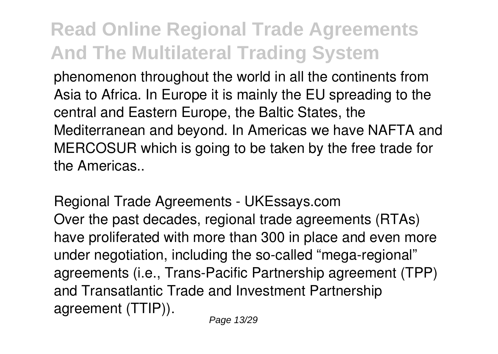phenomenon throughout the world in all the continents from Asia to Africa. In Europe it is mainly the EU spreading to the central and Eastern Europe, the Baltic States, the Mediterranean and beyond. In Americas we have NAFTA and MERCOSUR which is going to be taken by the free trade for the Americas..

Regional Trade Agreements - UKEssays.com Over the past decades, regional trade agreements (RTAs) have proliferated with more than 300 in place and even more under negotiation, including the so-called "mega-regional" agreements (i.e., Trans-Pacific Partnership agreement (TPP) and Transatlantic Trade and Investment Partnership agreement (TTIP)).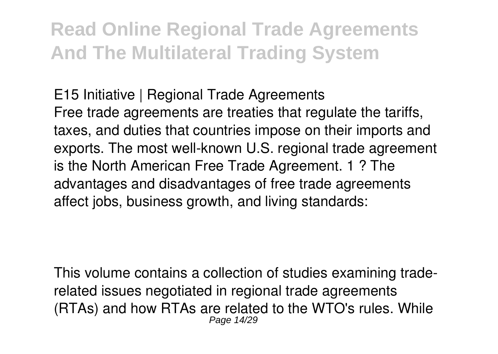E15 Initiative | Regional Trade Agreements Free trade agreements are treaties that regulate the tariffs, taxes, and duties that countries impose on their imports and exports. The most well-known U.S. regional trade agreement is the North American Free Trade Agreement. 1 ? The advantages and disadvantages of free trade agreements affect jobs, business growth, and living standards:

This volume contains a collection of studies examining traderelated issues negotiated in regional trade agreements (RTAs) and how RTAs are related to the WTO's rules. While Page 14/29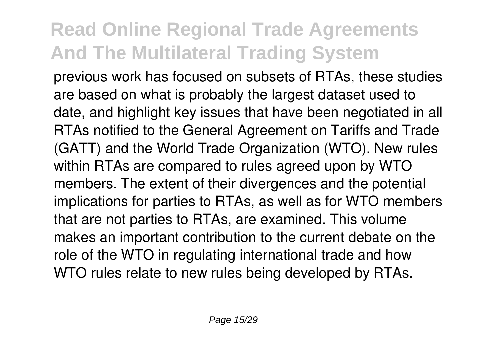previous work has focused on subsets of RTAs, these studies are based on what is probably the largest dataset used to date, and highlight key issues that have been negotiated in all RTAs notified to the General Agreement on Tariffs and Trade (GATT) and the World Trade Organization (WTO). New rules within RTAs are compared to rules agreed upon by WTO members. The extent of their divergences and the potential implications for parties to RTAs, as well as for WTO members that are not parties to RTAs, are examined. This volume makes an important contribution to the current debate on the role of the WTO in regulating international trade and how WTO rules relate to new rules being developed by RTAs.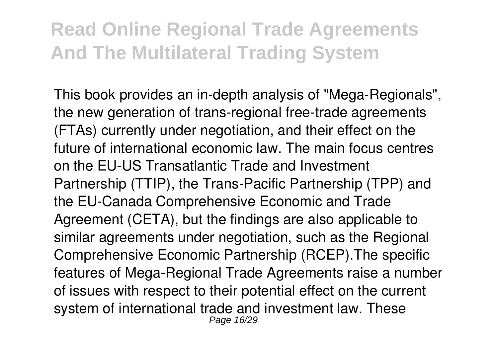This book provides an in-depth analysis of "Mega-Regionals", the new generation of trans-regional free-trade agreements (FTAs) currently under negotiation, and their effect on the future of international economic law. The main focus centres on the EU-US Transatlantic Trade and Investment Partnership (TTIP), the Trans-Pacific Partnership (TPP) and the EU-Canada Comprehensive Economic and Trade Agreement (CETA), but the findings are also applicable to similar agreements under negotiation, such as the Regional Comprehensive Economic Partnership (RCEP).The specific features of Mega-Regional Trade Agreements raise a number of issues with respect to their potential effect on the current system of international trade and investment law. These Page 16/29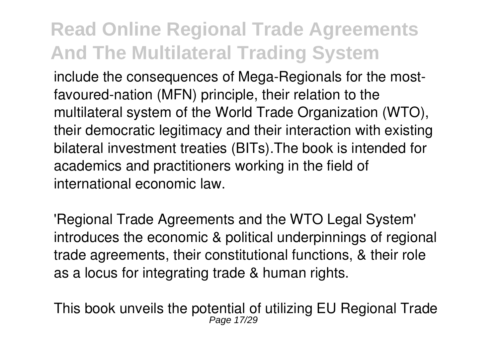include the consequences of Mega-Regionals for the mostfavoured-nation (MFN) principle, their relation to the multilateral system of the World Trade Organization (WTO), their democratic legitimacy and their interaction with existing bilateral investment treaties (BITs).The book is intended for academics and practitioners working in the field of international economic law.

'Regional Trade Agreements and the WTO Legal System' introduces the economic & political underpinnings of regional trade agreements, their constitutional functions, & their role as a locus for integrating trade & human rights.

This book unveils the potential of utilizing EU Regional Trade Page 17/29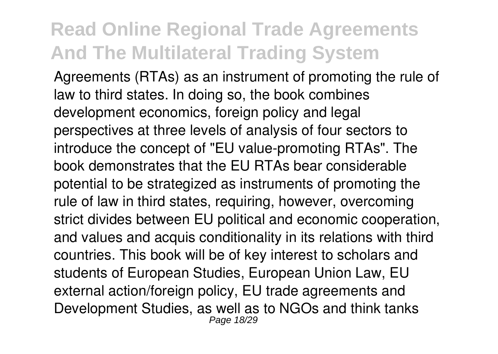Agreements (RTAs) as an instrument of promoting the rule of law to third states. In doing so, the book combines development economics, foreign policy and legal perspectives at three levels of analysis of four sectors to introduce the concept of "EU value-promoting RTAs". The book demonstrates that the EU RTAs bear considerable potential to be strategized as instruments of promoting the rule of law in third states, requiring, however, overcoming strict divides between EU political and economic cooperation, and values and acquis conditionality in its relations with third countries. This book will be of key interest to scholars and students of European Studies, European Union Law, EU external action/foreign policy, EU trade agreements and Development Studies, as well as to NGOs and think tanks Page 18/29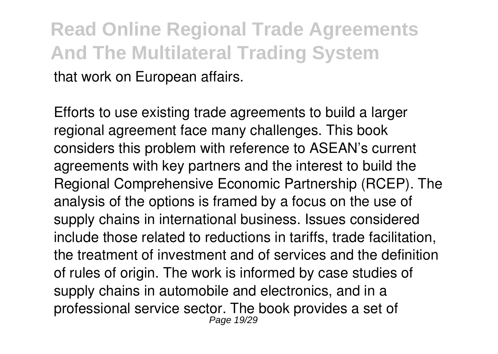**Read Online Regional Trade Agreements And The Multilateral Trading System** that work on European affairs.

Efforts to use existing trade agreements to build a larger regional agreement face many challenges. This book considers this problem with reference to ASEAN's current agreements with key partners and the interest to build the Regional Comprehensive Economic Partnership (RCEP). The analysis of the options is framed by a focus on the use of supply chains in international business. Issues considered include those related to reductions in tariffs, trade facilitation, the treatment of investment and of services and the definition of rules of origin. The work is informed by case studies of supply chains in automobile and electronics, and in a professional service sector. The book provides a set of Page 19/29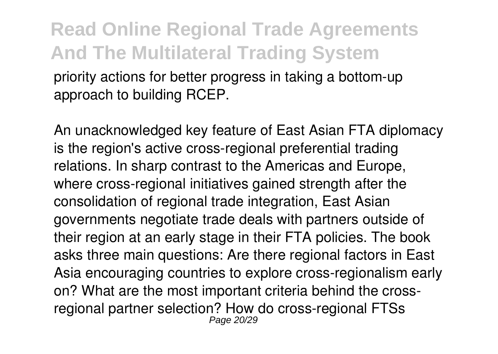priority actions for better progress in taking a bottom-up approach to building RCEP.

An unacknowledged key feature of East Asian FTA diplomacy is the region's active cross-regional preferential trading relations. In sharp contrast to the Americas and Europe, where cross-regional initiatives gained strength after the consolidation of regional trade integration, East Asian governments negotiate trade deals with partners outside of their region at an early stage in their FTA policies. The book asks three main questions: Are there regional factors in East Asia encouraging countries to explore cross-regionalism early on? What are the most important criteria behind the crossregional partner selection? How do cross-regional FTSs Page 20/29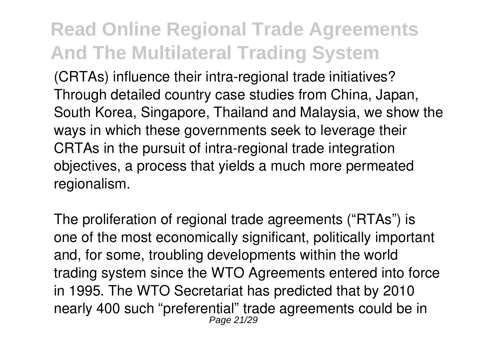(CRTAs) influence their intra-regional trade initiatives? Through detailed country case studies from China, Japan, South Korea, Singapore, Thailand and Malaysia, we show the ways in which these governments seek to leverage their CRTAs in the pursuit of intra-regional trade integration objectives, a process that yields a much more permeated regionalism.

The proliferation of regional trade agreements ("RTAs") is one of the most economically significant, politically important and, for some, troubling developments within the world trading system since the WTO Agreements entered into force in 1995. The WTO Secretariat has predicted that by 2010 nearly 400 such "preferential" trade agreements could be in Page 21/29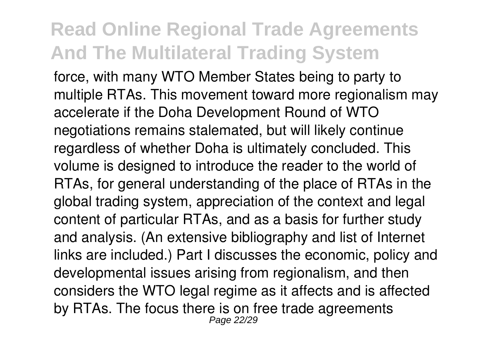force, with many WTO Member States being to party to multiple RTAs. This movement toward more regionalism may accelerate if the Doha Development Round of WTO negotiations remains stalemated, but will likely continue regardless of whether Doha is ultimately concluded. This volume is designed to introduce the reader to the world of RTAs, for general understanding of the place of RTAs in the global trading system, appreciation of the context and legal content of particular RTAs, and as a basis for further study and analysis. (An extensive bibliography and list of Internet links are included.) Part I discusses the economic, policy and developmental issues arising from regionalism, and then considers the WTO legal regime as it affects and is affected by RTAs. The focus there is on free trade agreements Page 22/29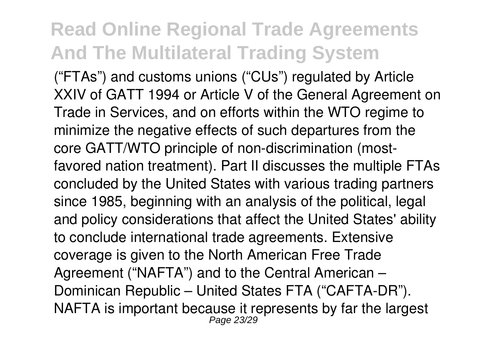("FTAs") and customs unions ("CUs") regulated by Article XXIV of GATT 1994 or Article V of the General Agreement on Trade in Services, and on efforts within the WTO regime to minimize the negative effects of such departures from the core GATT/WTO principle of non-discrimination (mostfavored nation treatment). Part II discusses the multiple FTAs concluded by the United States with various trading partners since 1985, beginning with an analysis of the political, legal and policy considerations that affect the United States' ability to conclude international trade agreements. Extensive coverage is given to the North American Free Trade Agreement ("NAFTA") and to the Central American – Dominican Republic – United States FTA ("CAFTA-DR"). NAFTA is important because it represents by far the largest Page 23/29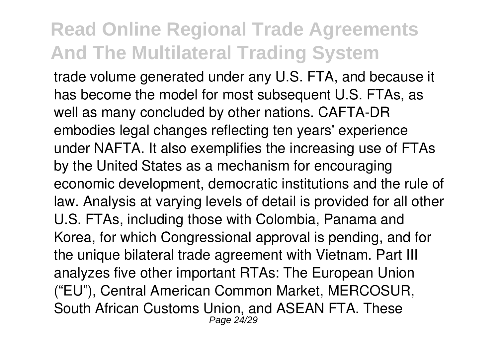trade volume generated under any U.S. FTA, and because it has become the model for most subsequent U.S. FTAs, as well as many concluded by other nations. CAFTA-DR embodies legal changes reflecting ten years' experience under NAFTA. It also exemplifies the increasing use of FTAs by the United States as a mechanism for encouraging economic development, democratic institutions and the rule of law. Analysis at varying levels of detail is provided for all other U.S. FTAs, including those with Colombia, Panama and Korea, for which Congressional approval is pending, and for the unique bilateral trade agreement with Vietnam. Part III analyzes five other important RTAs: The European Union ("EU"), Central American Common Market, MERCOSUR, South African Customs Union, and ASEAN FTA. These Page 24/29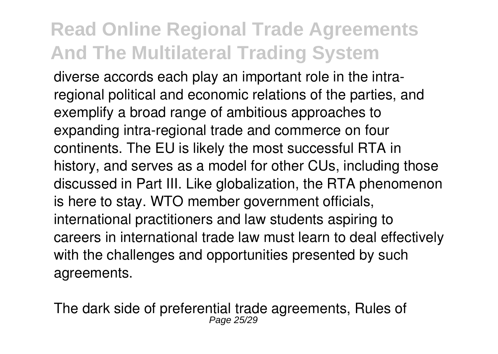diverse accords each play an important role in the intraregional political and economic relations of the parties, and exemplify a broad range of ambitious approaches to expanding intra-regional trade and commerce on four continents. The EU is likely the most successful RTA in history, and serves as a model for other CUs, including those discussed in Part III. Like globalization, the RTA phenomenon is here to stay. WTO member government officials, international practitioners and law students aspiring to careers in international trade law must learn to deal effectively with the challenges and opportunities presented by such agreements.

The dark side of preferential trade agreements, Rules of Page 25/29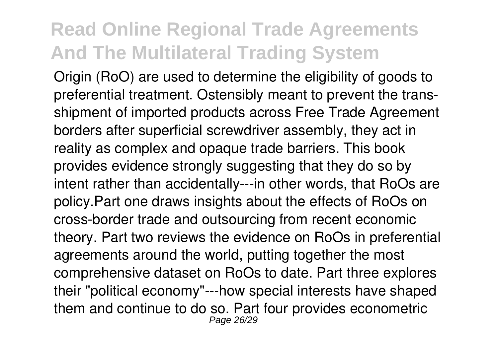Origin (RoO) are used to determine the eligibility of goods to preferential treatment. Ostensibly meant to prevent the transshipment of imported products across Free Trade Agreement borders after superficial screwdriver assembly, they act in reality as complex and opaque trade barriers. This book provides evidence strongly suggesting that they do so by intent rather than accidentally---in other words, that RoOs are policy.Part one draws insights about the effects of RoOs on cross-border trade and outsourcing from recent economic theory. Part two reviews the evidence on RoOs in preferential agreements around the world, putting together the most comprehensive dataset on RoOs to date. Part three explores their "political economy"---how special interests have shaped them and continue to do so. Part four provides econometric Page 26/29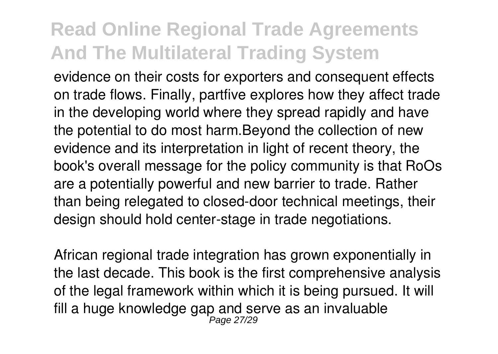evidence on their costs for exporters and consequent effects on trade flows. Finally, partfive explores how they affect trade in the developing world where they spread rapidly and have the potential to do most harm.Beyond the collection of new evidence and its interpretation in light of recent theory, the book's overall message for the policy community is that RoOs are a potentially powerful and new barrier to trade. Rather than being relegated to closed-door technical meetings, their design should hold center-stage in trade negotiations.

African regional trade integration has grown exponentially in the last decade. This book is the first comprehensive analysis of the legal framework within which it is being pursued. It will fill a huge knowledge gap and serve as an invaluable<br>Page 27/29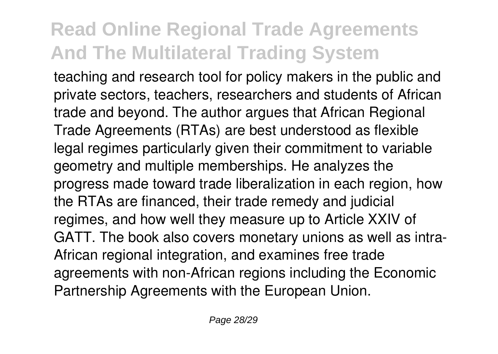teaching and research tool for policy makers in the public and private sectors, teachers, researchers and students of African trade and beyond. The author argues that African Regional Trade Agreements (RTAs) are best understood as flexible legal regimes particularly given their commitment to variable geometry and multiple memberships. He analyzes the progress made toward trade liberalization in each region, how the RTAs are financed, their trade remedy and judicial regimes, and how well they measure up to Article XXIV of GATT. The book also covers monetary unions as well as intra-African regional integration, and examines free trade agreements with non-African regions including the Economic Partnership Agreements with the European Union.